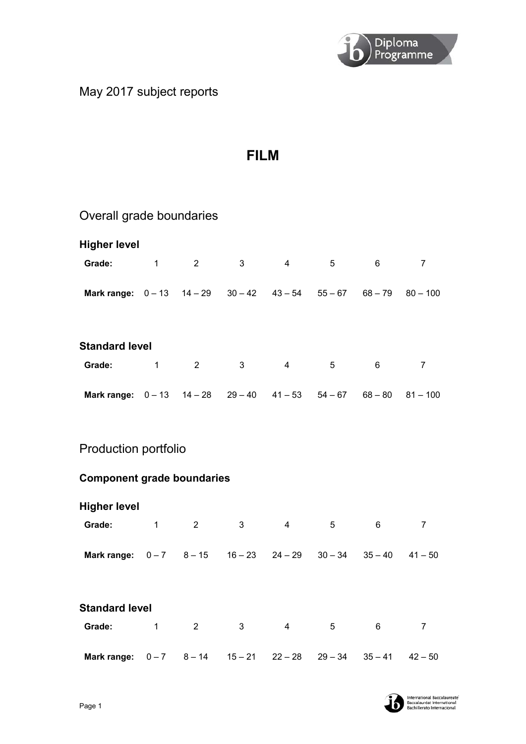

# May 2017 subject reports

# **FILM**

| Overall grade boundaries                                            |              |                |              |                |                 |           |                |
|---------------------------------------------------------------------|--------------|----------------|--------------|----------------|-----------------|-----------|----------------|
| <b>Higher level</b>                                                 |              |                |              |                |                 |           |                |
| Grade:                                                              | $\mathbf{1}$ | $\overline{2}$ | $\mathbf{3}$ | $\overline{4}$ | 5               | 6         | $\overline{7}$ |
| Mark range: $0-13$ $14-29$ $30-42$ $43-54$ $55-67$ $68-79$ $80-100$ |              |                |              |                |                 |           |                |
| <b>Standard level</b>                                               |              |                |              |                |                 |           |                |
| Grade:                                                              | $\mathbf 1$  | $\overline{2}$ | 3            | $\overline{4}$ | 5               | 6         | $\overline{7}$ |
| Mark range: $0-13$ $14-28$ $29-40$ $41-53$ $54-67$ $68-80$ $81-100$ |              |                |              |                |                 |           |                |
| <b>Production portfolio</b>                                         |              |                |              |                |                 |           |                |
| <b>Component grade boundaries</b>                                   |              |                |              |                |                 |           |                |
| <b>Higher level</b>                                                 |              |                |              |                |                 |           |                |
| Grade:                                                              | $\mathbf{1}$ | $\overline{2}$ | 3            | $\overline{4}$ | $5\phantom{.0}$ | 6         | $\overline{7}$ |
| Mark range: $0-7$ $8-15$ $16-23$ $24-29$                            |              |                |              |                | $30 - 34$       | $35 - 40$ | $41 - 50$      |
| <b>Standard level</b>                                               |              |                |              |                |                 |           |                |
| Grade:                                                              | 1            | $\overline{c}$ | 3            | $\overline{4}$ | 5               | 6         | $\overline{7}$ |

**Mark range:** 0 – 7 8 – 14 15 – 21 22 – 28 29 – 34 35 – 41 42 – 50

International Baccalaureate<sup>"</sup><br>Baccalauréat International<br>Bachillerato Internacional b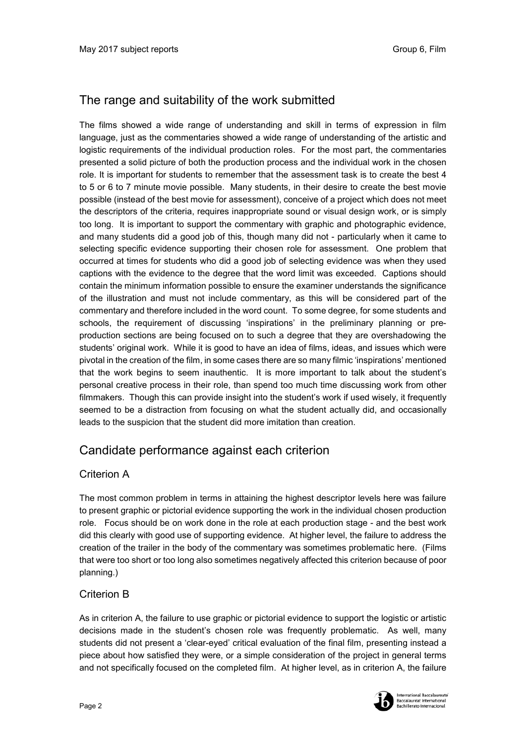# The range and suitability of the work submitted

The films showed a wide range of understanding and skill in terms of expression in film language, just as the commentaries showed a wide range of understanding of the artistic and logistic requirements of the individual production roles. For the most part, the commentaries presented a solid picture of both the production process and the individual work in the chosen role. It is important for students to remember that the assessment task is to create the best 4 to 5 or 6 to 7 minute movie possible. Many students, in their desire to create the best movie possible (instead of the best movie for assessment), conceive of a project which does not meet the descriptors of the criteria, requires inappropriate sound or visual design work, or is simply too long. It is important to support the commentary with graphic and photographic evidence, and many students did a good job of this, though many did not - particularly when it came to selecting specific evidence supporting their chosen role for assessment. One problem that occurred at times for students who did a good job of selecting evidence was when they used captions with the evidence to the degree that the word limit was exceeded. Captions should contain the minimum information possible to ensure the examiner understands the significance of the illustration and must not include commentary, as this will be considered part of the commentary and therefore included in the word count. To some degree, for some students and schools, the requirement of discussing 'inspirations' in the preliminary planning or preproduction sections are being focused on to such a degree that they are overshadowing the students' original work. While it is good to have an idea of films, ideas, and issues which were pivotal in the creation of the film, in some cases there are so many filmic 'inspirations' mentioned that the work begins to seem inauthentic. It is more important to talk about the student's personal creative process in their role, than spend too much time discussing work from other filmmakers. Though this can provide insight into the student's work if used wisely, it frequently seemed to be a distraction from focusing on what the student actually did, and occasionally leads to the suspicion that the student did more imitation than creation.

### Candidate performance against each criterion

#### Criterion A

The most common problem in terms in attaining the highest descriptor levels here was failure to present graphic or pictorial evidence supporting the work in the individual chosen production role. Focus should be on work done in the role at each production stage - and the best work did this clearly with good use of supporting evidence. At higher level, the failure to address the creation of the trailer in the body of the commentary was sometimes problematic here. (Films that were too short or too long also sometimes negatively affected this criterion because of poor planning.)

#### Criterion B

As in criterion A, the failure to use graphic or pictorial evidence to support the logistic or artistic decisions made in the student's chosen role was frequently problematic. As well, many students did not present a 'clear-eyed' critical evaluation of the final film, presenting instead a piece about how satisfied they were, or a simple consideration of the project in general terms and not specifically focused on the completed film. At higher level, as in criterion A, the failure

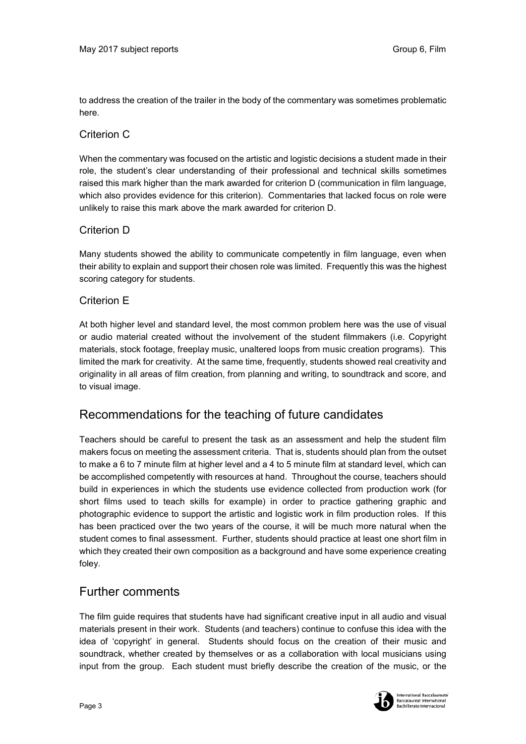to address the creation of the trailer in the body of the commentary was sometimes problematic here.

#### Criterion C

When the commentary was focused on the artistic and logistic decisions a student made in their role, the student's clear understanding of their professional and technical skills sometimes raised this mark higher than the mark awarded for criterion D (communication in film language, which also provides evidence for this criterion). Commentaries that lacked focus on role were unlikely to raise this mark above the mark awarded for criterion D.

#### Criterion D

Many students showed the ability to communicate competently in film language, even when their ability to explain and support their chosen role was limited. Frequently this was the highest scoring category for students.

#### Criterion E

At both higher level and standard level, the most common problem here was the use of visual or audio material created without the involvement of the student filmmakers (i.e. Copyright materials, stock footage, freeplay music, unaltered loops from music creation programs). This limited the mark for creativity. At the same time, frequently, students showed real creativity and originality in all areas of film creation, from planning and writing, to soundtrack and score, and to visual image.

#### Recommendations for the teaching of future candidates

Teachers should be careful to present the task as an assessment and help the student film makers focus on meeting the assessment criteria. That is, students should plan from the outset to make a 6 to 7 minute film at higher level and a 4 to 5 minute film at standard level, which can be accomplished competently with resources at hand. Throughout the course, teachers should build in experiences in which the students use evidence collected from production work (for short films used to teach skills for example) in order to practice gathering graphic and photographic evidence to support the artistic and logistic work in film production roles. If this has been practiced over the two years of the course, it will be much more natural when the student comes to final assessment. Further, students should practice at least one short film in which they created their own composition as a background and have some experience creating foley.

#### Further comments

The film guide requires that students have had significant creative input in all audio and visual materials present in their work. Students (and teachers) continue to confuse this idea with the idea of 'copyright' in general. Students should focus on the creation of their music and soundtrack, whether created by themselves or as a collaboration with local musicians using input from the group. Each student must briefly describe the creation of the music, or the



ternational Baccalaureate Baccalauréat International **Bachillerato Internacional**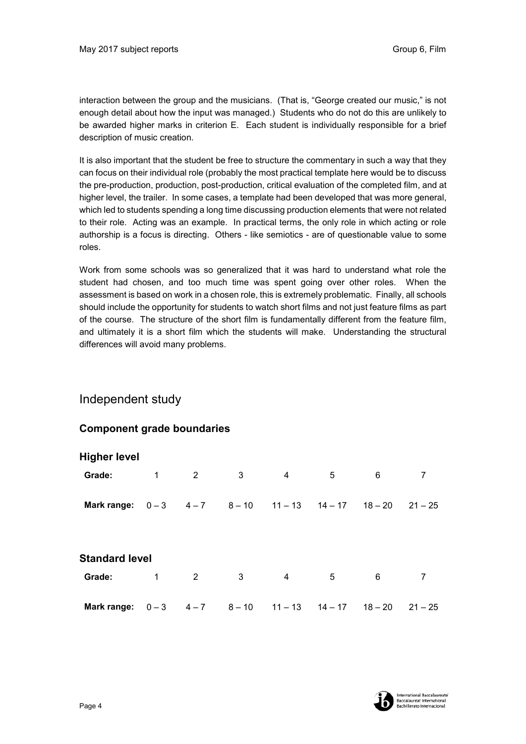interaction between the group and the musicians. (That is, "George created our music," is not enough detail about how the input was managed.) Students who do not do this are unlikely to be awarded higher marks in criterion E. Each student is individually responsible for a brief description of music creation.

It is also important that the student be free to structure the commentary in such a way that they can focus on their individual role (probably the most practical template here would be to discuss the pre-production, production, post-production, critical evaluation of the completed film, and at higher level, the trailer. In some cases, a template had been developed that was more general, which led to students spending a long time discussing production elements that were not related to their role. Acting was an example. In practical terms, the only role in which acting or role authorship is a focus is directing. Others - like semiotics - are of questionable value to some roles.

Work from some schools was so generalized that it was hard to understand what role the student had chosen, and too much time was spent going over other roles. When the assessment is based on work in a chosen role, this is extremely problematic. Finally, all schools should include the opportunity for students to watch short films and not just feature films as part of the course. The structure of the short film is fundamentally different from the feature film, and ultimately it is a short film which the students will make. Understanding the structural differences will avoid many problems.

### Independent study

#### **Component grade boundaries**

| <b>Higher level</b>                          |   |                |   |   |                               |   |           |
|----------------------------------------------|---|----------------|---|---|-------------------------------|---|-----------|
| Grade:                                       | 1 | $\overline{2}$ | 3 | 4 | 5                             | 6 | 7         |
| Mark range: $0-3$ 4-7 8-10 11-13 14-17 18-20 |   |                |   |   |                               |   | $21 - 25$ |
| <b>Standard level</b>                        |   |                |   |   |                               |   |           |
| Grade:                                       | 1 | 2              | 3 | 4 | 5                             | 6 | 7         |
| <b>Mark range:</b> $0-3$ $4-7$ $8-10$        |   |                |   |   | $11 - 13$ $14 - 17$ $18 - 20$ |   | $21 - 25$ |

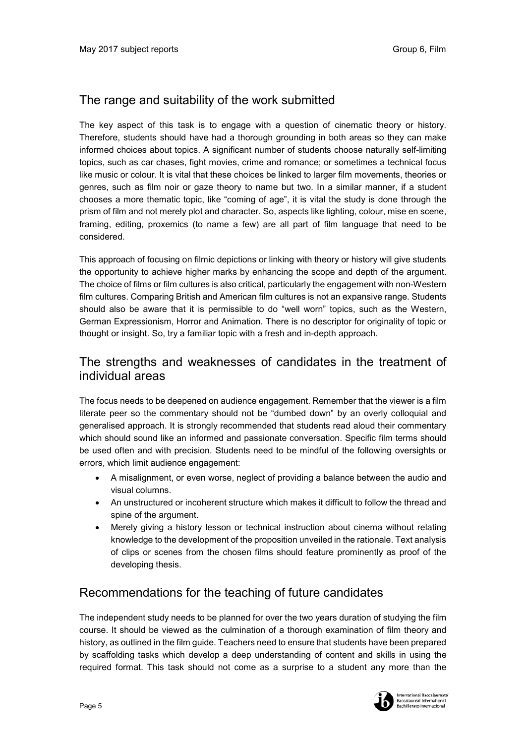# The range and suitability of the work submitted

The key aspect of this task is to engage with a question of cinematic theory or history. Therefore, students should have had a thorough grounding in both areas so they can make informed choices about topics. A significant number of students choose naturally self-limiting topics, such as car chases, fight movies, crime and romance; or sometimes a technical focus like music or colour. It is vital that these choices be linked to larger film movements, theories or genres, such as film noir or gaze theory to name but two. In a similar manner, if a student chooses a more thematic topic, like "coming of age", it is vital the study is done through the prism of film and not merely plot and character. So, aspects like lighting, colour, mise en scene, framing, editing, proxemics (to name a few) are all part of film language that need to be considered.

This approach of focusing on filmic depictions or linking with theory or history will give students the opportunity to achieve higher marks by enhancing the scope and depth of the argument. The choice of films or film cultures is also critical, particularly the engagement with non-Western film cultures. Comparing British and American film cultures is not an expansive range. Students should also be aware that it is permissible to do "well worn" topics, such as the Western, German Expressionism, Horror and Animation. There is no descriptor for originality of topic or thought or insight. So, try a familiar topic with a fresh and in-depth approach.

## The strengths and weaknesses of candidates in the treatment of individual areas

The focus needs to be deepened on audience engagement. Remember that the viewer is a film literate peer so the commentary should not be "dumbed down" by an overly colloquial and generalised approach. It is strongly recommended that students read aloud their commentary which should sound like an informed and passionate conversation. Specific film terms should be used often and with precision. Students need to be mindful of the following oversights or errors, which limit audience engagement:

- A misalignment, or even worse, neglect of providing a balance between the audio and visual columns.
- An unstructured or incoherent structure which makes it difficult to follow the thread and spine of the argument.
- Merely giving a history lesson or technical instruction about cinema without relating knowledge to the development of the proposition unveiled in the rationale. Text analysis of clips or scenes from the chosen films should feature prominently as proof of the developing thesis.

### Recommendations for the teaching of future candidates

The independent study needs to be planned for over the two years duration of studying the film course. It should be viewed as the culmination of a thorough examination of film theory and history, as outlined in the film guide. Teachers need to ensure that students have been prepared by scaffolding tasks which develop a deep understanding of content and skills in using the required format. This task should not come as a surprise to a student any more than the

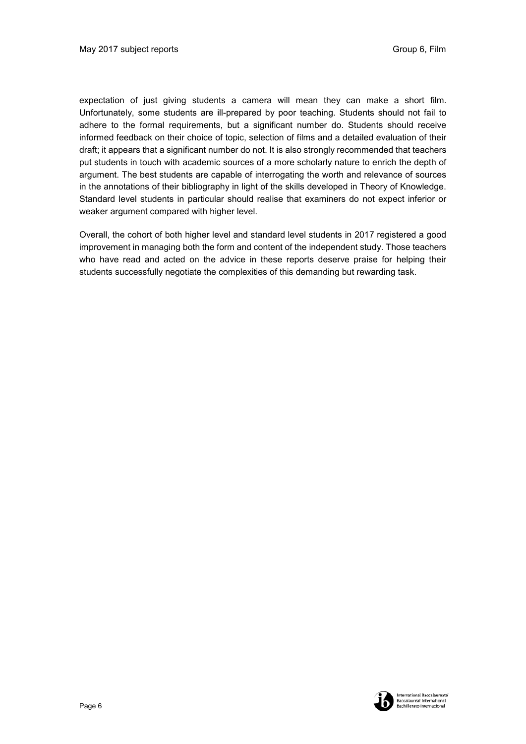expectation of just giving students a camera will mean they can make a short film. Unfortunately, some students are ill-prepared by poor teaching. Students should not fail to adhere to the formal requirements, but a significant number do. Students should receive informed feedback on their choice of topic, selection of films and a detailed evaluation of their draft; it appears that a significant number do not. It is also strongly recommended that teachers put students in touch with academic sources of a more scholarly nature to enrich the depth of argument. The best students are capable of interrogating the worth and relevance of sources in the annotations of their bibliography in light of the skills developed in Theory of Knowledge. Standard level students in particular should realise that examiners do not expect inferior or weaker argument compared with higher level.

Overall, the cohort of both higher level and standard level students in 2017 registered a good improvement in managing both the form and content of the independent study. Those teachers who have read and acted on the advice in these reports deserve praise for helping their students successfully negotiate the complexities of this demanding but rewarding task.

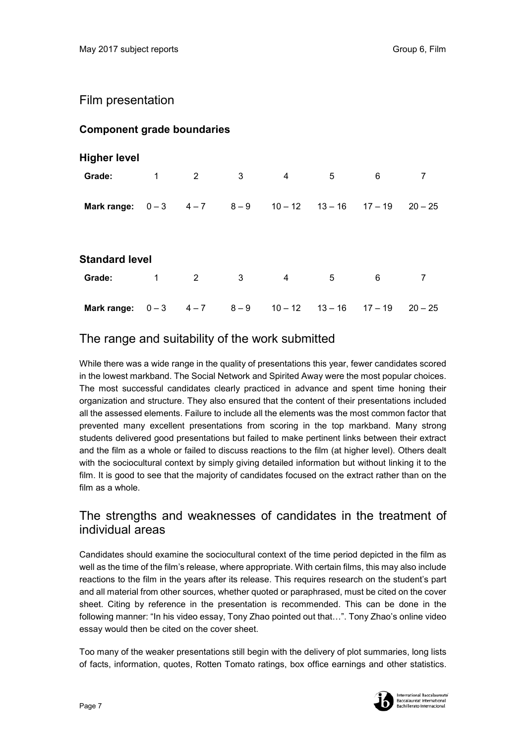### Film presentation

#### **Component grade boundaries**

| <b>Higher level</b>                         |              |                |                         |                |                               |   |                |
|---------------------------------------------|--------------|----------------|-------------------------|----------------|-------------------------------|---|----------------|
| Grade:                                      | $\mathbf{1}$ | $\overline{2}$ | $\overline{\mathbf{3}}$ | $\overline{4}$ | 5                             | 6 | $\overline{7}$ |
| Mark range: $0-3$ 4-7 8-9 10-12 13-16 17-19 |              |                |                         |                |                               |   | $20 - 25$      |
| <b>Standard level</b>                       |              |                |                         |                |                               |   |                |
| Grade:                                      | 1            | $\overline{2}$ | 3                       | $\overline{4}$ | 5                             | 6 | $\overline{7}$ |
| Mark range:                                 | $0 - 3$      |                | $4-7$ $8-9$             |                | $10 - 12$ $13 - 16$ $17 - 19$ |   | $20 - 25$      |

### The range and suitability of the work submitted

While there was a wide range in the quality of presentations this year, fewer candidates scored in the lowest markband. The Social Network and Spirited Away were the most popular choices. The most successful candidates clearly practiced in advance and spent time honing their organization and structure. They also ensured that the content of their presentations included all the assessed elements. Failure to include all the elements was the most common factor that prevented many excellent presentations from scoring in the top markband. Many strong students delivered good presentations but failed to make pertinent links between their extract and the film as a whole or failed to discuss reactions to the film (at higher level). Others dealt with the sociocultural context by simply giving detailed information but without linking it to the film. It is good to see that the majority of candidates focused on the extract rather than on the film as a whole.

## The strengths and weaknesses of candidates in the treatment of individual areas

Candidates should examine the sociocultural context of the time period depicted in the film as well as the time of the film's release, where appropriate. With certain films, this may also include reactions to the film in the years after its release. This requires research on the student's part and all material from other sources, whether quoted or paraphrased, must be cited on the cover sheet. Citing by reference in the presentation is recommended. This can be done in the following manner: "In his video essay, Tony Zhao pointed out that…". Tony Zhao's online video essay would then be cited on the cover sheet.

Too many of the weaker presentations still begin with the delivery of plot summaries, long lists of facts, information, quotes, Rotten Tomato ratings, box office earnings and other statistics.

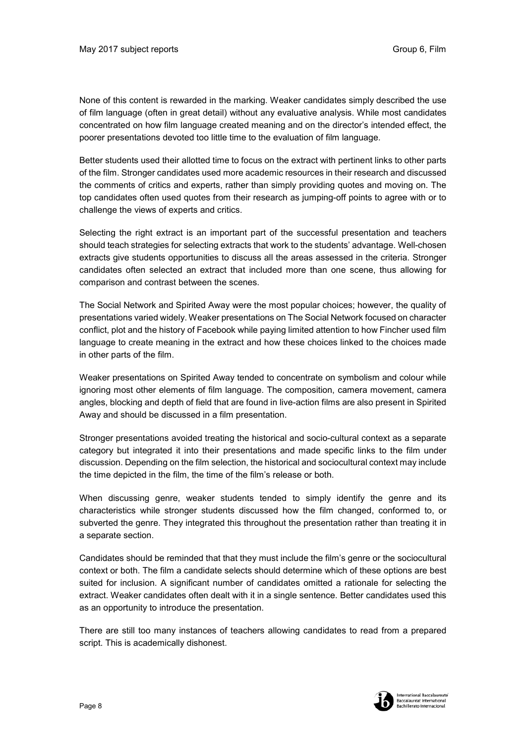None of this content is rewarded in the marking. Weaker candidates simply described the use of film language (often in great detail) without any evaluative analysis. While most candidates concentrated on how film language created meaning and on the director's intended effect, the poorer presentations devoted too little time to the evaluation of film language.

Better students used their allotted time to focus on the extract with pertinent links to other parts of the film. Stronger candidates used more academic resources in their research and discussed the comments of critics and experts, rather than simply providing quotes and moving on. The top candidates often used quotes from their research as jumping-off points to agree with or to challenge the views of experts and critics.

Selecting the right extract is an important part of the successful presentation and teachers should teach strategies for selecting extracts that work to the students' advantage. Well-chosen extracts give students opportunities to discuss all the areas assessed in the criteria. Stronger candidates often selected an extract that included more than one scene, thus allowing for comparison and contrast between the scenes.

The Social Network and Spirited Away were the most popular choices; however, the quality of presentations varied widely. Weaker presentations on The Social Network focused on character conflict, plot and the history of Facebook while paying limited attention to how Fincher used film language to create meaning in the extract and how these choices linked to the choices made in other parts of the film.

Weaker presentations on Spirited Away tended to concentrate on symbolism and colour while ignoring most other elements of film language. The composition, camera movement, camera angles, blocking and depth of field that are found in live-action films are also present in Spirited Away and should be discussed in a film presentation.

Stronger presentations avoided treating the historical and socio-cultural context as a separate category but integrated it into their presentations and made specific links to the film under discussion. Depending on the film selection, the historical and sociocultural context may include the time depicted in the film, the time of the film's release or both.

When discussing genre, weaker students tended to simply identify the genre and its characteristics while stronger students discussed how the film changed, conformed to, or subverted the genre. They integrated this throughout the presentation rather than treating it in a separate section.

Candidates should be reminded that that they must include the film's genre or the sociocultural context or both. The film a candidate selects should determine which of these options are best suited for inclusion. A significant number of candidates omitted a rationale for selecting the extract. Weaker candidates often dealt with it in a single sentence. Better candidates used this as an opportunity to introduce the presentation.

There are still too many instances of teachers allowing candidates to read from a prepared script. This is academically dishonest.